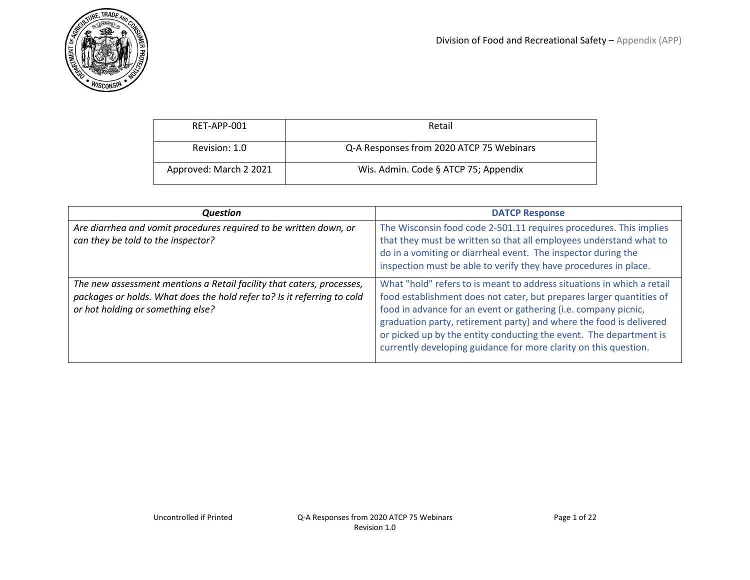

| RET-APP-001            | Retail                                   |
|------------------------|------------------------------------------|
| Revision: 1.0          | Q-A Responses from 2020 ATCP 75 Webinars |
| Approved: March 2 2021 | Wis. Admin. Code § ATCP 75; Appendix     |

| <b>Question</b>                                                                                                                                                                       | <b>DATCP Response</b>                                                                                                                                                                                                                                                                                                                                                                                                              |
|---------------------------------------------------------------------------------------------------------------------------------------------------------------------------------------|------------------------------------------------------------------------------------------------------------------------------------------------------------------------------------------------------------------------------------------------------------------------------------------------------------------------------------------------------------------------------------------------------------------------------------|
| Are diarrhea and vomit procedures required to be written down, or<br>can they be told to the inspector?                                                                               | The Wisconsin food code 2-501.11 requires procedures. This implies<br>that they must be written so that all employees understand what to<br>do in a vomiting or diarrheal event. The inspector during the<br>inspection must be able to verify they have procedures in place.                                                                                                                                                      |
| The new assessment mentions a Retail facility that caters, processes,<br>packages or holds. What does the hold refer to? Is it referring to cold<br>or hot holding or something else? | What "hold" refers to is meant to address situations in which a retail<br>food establishment does not cater, but prepares larger quantities of<br>food in advance for an event or gathering (i.e. company picnic,<br>graduation party, retirement party) and where the food is delivered<br>or picked up by the entity conducting the event. The department is<br>currently developing guidance for more clarity on this question. |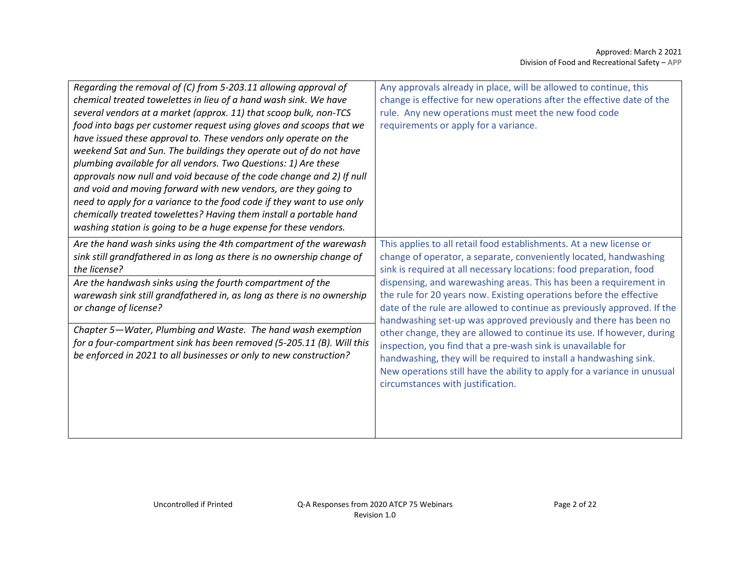| Regarding the removal of (C) from 5-203.11 allowing approval of<br>chemical treated towelettes in lieu of a hand wash sink. We have<br>several vendors at a market (approx. 11) that scoop bulk, non-TCS<br>food into bags per customer request using gloves and scoops that we<br>have issued these approval to. These vendors only operate on the<br>weekend Sat and Sun. The buildings they operate out of do not have<br>plumbing available for all vendors. Two Questions: 1) Are these<br>approvals now null and void because of the code change and 2) If null<br>and void and moving forward with new vendors, are they going to | Any approvals already in place, will be allowed to continue, this<br>change is effective for new operations after the effective date of the<br>rule. Any new operations must meet the new food code<br>requirements or apply for a variance.                                                                                 |
|------------------------------------------------------------------------------------------------------------------------------------------------------------------------------------------------------------------------------------------------------------------------------------------------------------------------------------------------------------------------------------------------------------------------------------------------------------------------------------------------------------------------------------------------------------------------------------------------------------------------------------------|------------------------------------------------------------------------------------------------------------------------------------------------------------------------------------------------------------------------------------------------------------------------------------------------------------------------------|
| need to apply for a variance to the food code if they want to use only<br>chemically treated towelettes? Having them install a portable hand<br>washing station is going to be a huge expense for these vendors.                                                                                                                                                                                                                                                                                                                                                                                                                         |                                                                                                                                                                                                                                                                                                                              |
| Are the hand wash sinks using the 4th compartment of the warewash<br>sink still grandfathered in as long as there is no ownership change of<br>the license?                                                                                                                                                                                                                                                                                                                                                                                                                                                                              | This applies to all retail food establishments. At a new license or<br>change of operator, a separate, conveniently located, handwashing<br>sink is required at all necessary locations: food preparation, food                                                                                                              |
| Are the handwash sinks using the fourth compartment of the<br>warewash sink still grandfathered in, as long as there is no ownership<br>or change of license?                                                                                                                                                                                                                                                                                                                                                                                                                                                                            | dispensing, and warewashing areas. This has been a requirement in<br>the rule for 20 years now. Existing operations before the effective<br>date of the rule are allowed to continue as previously approved. If the<br>handwashing set-up was approved previously and there has been no                                      |
| Chapter 5-Water, Plumbing and Waste. The hand wash exemption<br>for a four-compartment sink has been removed (5-205.11 (B). Will this<br>be enforced in 2021 to all businesses or only to new construction?                                                                                                                                                                                                                                                                                                                                                                                                                              | other change, they are allowed to continue its use. If however, during<br>inspection, you find that a pre-wash sink is unavailable for<br>handwashing, they will be required to install a handwashing sink.<br>New operations still have the ability to apply for a variance in unusual<br>circumstances with justification. |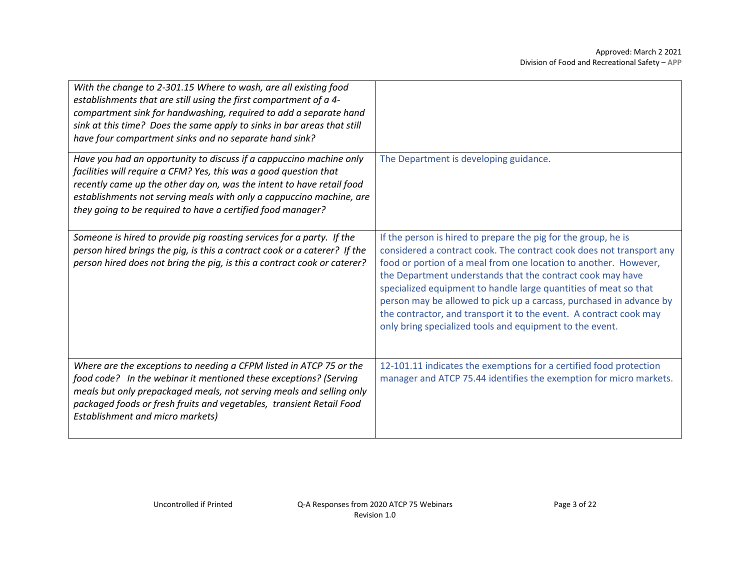| With the change to 2-301.15 Where to wash, are all existing food<br>establishments that are still using the first compartment of a 4-<br>compartment sink for handwashing, required to add a separate hand<br>sink at this time? Does the same apply to sinks in bar areas that still<br>have four compartment sinks and no separate hand sink?          |                                                                                                                                                                                                                                                                                                                                                                                                                                                                                                                                                       |
|----------------------------------------------------------------------------------------------------------------------------------------------------------------------------------------------------------------------------------------------------------------------------------------------------------------------------------------------------------|-------------------------------------------------------------------------------------------------------------------------------------------------------------------------------------------------------------------------------------------------------------------------------------------------------------------------------------------------------------------------------------------------------------------------------------------------------------------------------------------------------------------------------------------------------|
| Have you had an opportunity to discuss if a cappuccino machine only<br>facilities will require a CFM? Yes, this was a good question that<br>recently came up the other day on, was the intent to have retail food<br>establishments not serving meals with only a cappuccino machine, are<br>they going to be required to have a certified food manager? | The Department is developing guidance.                                                                                                                                                                                                                                                                                                                                                                                                                                                                                                                |
| Someone is hired to provide pig roasting services for a party. If the<br>person hired brings the pig, is this a contract cook or a caterer? If the<br>person hired does not bring the pig, is this a contract cook or caterer?                                                                                                                           | If the person is hired to prepare the pig for the group, he is<br>considered a contract cook. The contract cook does not transport any<br>food or portion of a meal from one location to another. However,<br>the Department understands that the contract cook may have<br>specialized equipment to handle large quantities of meat so that<br>person may be allowed to pick up a carcass, purchased in advance by<br>the contractor, and transport it to the event. A contract cook may<br>only bring specialized tools and equipment to the event. |
| Where are the exceptions to needing a CFPM listed in ATCP 75 or the<br>food code? In the webinar it mentioned these exceptions? (Serving<br>meals but only prepackaged meals, not serving meals and selling only<br>packaged foods or fresh fruits and vegetables, transient Retail Food<br><b>Establishment and micro markets)</b>                      | 12-101.11 indicates the exemptions for a certified food protection<br>manager and ATCP 75.44 identifies the exemption for micro markets.                                                                                                                                                                                                                                                                                                                                                                                                              |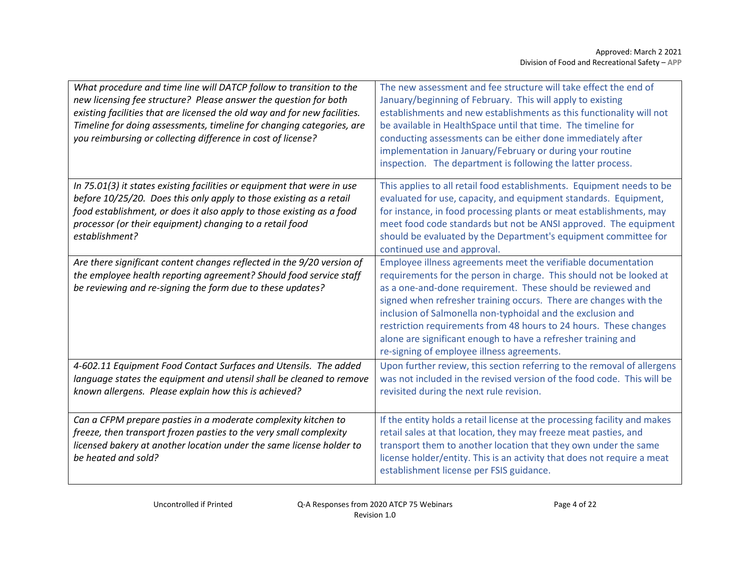| What procedure and time line will DATCP follow to transition to the<br>new licensing fee structure? Please answer the question for both<br>existing facilities that are licensed the old way and for new facilities.<br>Timeline for doing assessments, timeline for changing categories, are<br>you reimbursing or collecting difference in cost of license? | The new assessment and fee structure will take effect the end of<br>January/beginning of February. This will apply to existing<br>establishments and new establishments as this functionality will not<br>be available in HealthSpace until that time. The timeline for<br>conducting assessments can be either done immediately after<br>implementation in January/February or during your routine<br>inspection. The department is following the latter process.                                                          |
|---------------------------------------------------------------------------------------------------------------------------------------------------------------------------------------------------------------------------------------------------------------------------------------------------------------------------------------------------------------|-----------------------------------------------------------------------------------------------------------------------------------------------------------------------------------------------------------------------------------------------------------------------------------------------------------------------------------------------------------------------------------------------------------------------------------------------------------------------------------------------------------------------------|
| In 75.01(3) it states existing facilities or equipment that were in use<br>before 10/25/20. Does this only apply to those existing as a retail<br>food establishment, or does it also apply to those existing as a food<br>processor (or their equipment) changing to a retail food<br>establishment?                                                         | This applies to all retail food establishments. Equipment needs to be<br>evaluated for use, capacity, and equipment standards. Equipment,<br>for instance, in food processing plants or meat establishments, may<br>meet food code standards but not be ANSI approved. The equipment<br>should be evaluated by the Department's equipment committee for<br>continued use and approval.                                                                                                                                      |
| Are there significant content changes reflected in the 9/20 version of<br>the employee health reporting agreement? Should food service staff<br>be reviewing and re-signing the form due to these updates?                                                                                                                                                    | Employee illness agreements meet the verifiable documentation<br>requirements for the person in charge. This should not be looked at<br>as a one-and-done requirement. These should be reviewed and<br>signed when refresher training occurs. There are changes with the<br>inclusion of Salmonella non-typhoidal and the exclusion and<br>restriction requirements from 48 hours to 24 hours. These changes<br>alone are significant enough to have a refresher training and<br>re-signing of employee illness agreements. |
| 4-602.11 Equipment Food Contact Surfaces and Utensils. The added<br>language states the equipment and utensil shall be cleaned to remove<br>known allergens. Please explain how this is achieved?                                                                                                                                                             | Upon further review, this section referring to the removal of allergens<br>was not included in the revised version of the food code. This will be<br>revisited during the next rule revision.                                                                                                                                                                                                                                                                                                                               |
| Can a CFPM prepare pasties in a moderate complexity kitchen to<br>freeze, then transport frozen pasties to the very small complexity<br>licensed bakery at another location under the same license holder to<br>be heated and sold?                                                                                                                           | If the entity holds a retail license at the processing facility and makes<br>retail sales at that location, they may freeze meat pasties, and<br>transport them to another location that they own under the same<br>license holder/entity. This is an activity that does not require a meat<br>establishment license per FSIS guidance.                                                                                                                                                                                     |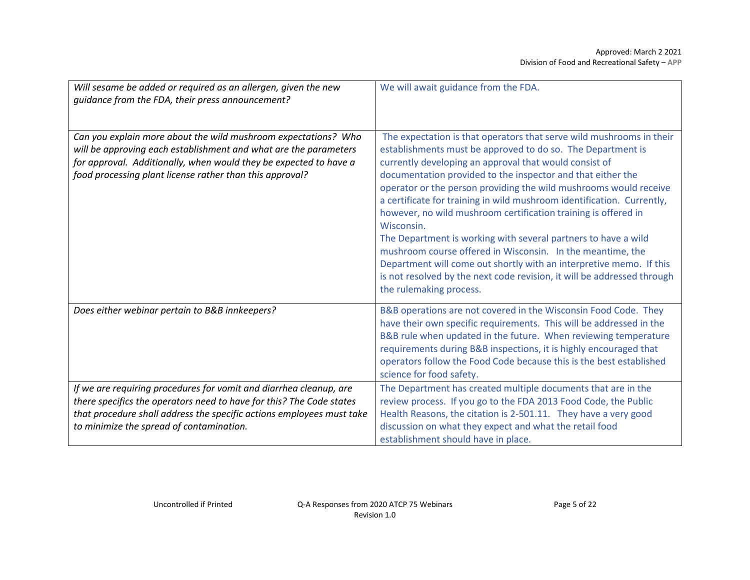| Will sesame be added or required as an allergen, given the new<br>guidance from the FDA, their press announcement?                                                                                                                                                  | We will await guidance from the FDA.                                                                                                                                                                                                                                                                                                                                                                                                                                                                                                                                                                                                                                                                                                                                                                     |
|---------------------------------------------------------------------------------------------------------------------------------------------------------------------------------------------------------------------------------------------------------------------|----------------------------------------------------------------------------------------------------------------------------------------------------------------------------------------------------------------------------------------------------------------------------------------------------------------------------------------------------------------------------------------------------------------------------------------------------------------------------------------------------------------------------------------------------------------------------------------------------------------------------------------------------------------------------------------------------------------------------------------------------------------------------------------------------------|
| Can you explain more about the wild mushroom expectations? Who<br>will be approving each establishment and what are the parameters<br>for approval. Additionally, when would they be expected to have a<br>food processing plant license rather than this approval? | The expectation is that operators that serve wild mushrooms in their<br>establishments must be approved to do so. The Department is<br>currently developing an approval that would consist of<br>documentation provided to the inspector and that either the<br>operator or the person providing the wild mushrooms would receive<br>a certificate for training in wild mushroom identification. Currently,<br>however, no wild mushroom certification training is offered in<br>Wisconsin.<br>The Department is working with several partners to have a wild<br>mushroom course offered in Wisconsin. In the meantime, the<br>Department will come out shortly with an interpretive memo. If this<br>is not resolved by the next code revision, it will be addressed through<br>the rulemaking process. |
| Does either webinar pertain to B&B innkeepers?                                                                                                                                                                                                                      | B&B operations are not covered in the Wisconsin Food Code. They<br>have their own specific requirements. This will be addressed in the<br>B&B rule when updated in the future. When reviewing temperature<br>requirements during B&B inspections, it is highly encouraged that<br>operators follow the Food Code because this is the best established<br>science for food safety.                                                                                                                                                                                                                                                                                                                                                                                                                        |
| If we are requiring procedures for vomit and diarrhea cleanup, are<br>there specifics the operators need to have for this? The Code states<br>that procedure shall address the specific actions employees must take<br>to minimize the spread of contamination.     | The Department has created multiple documents that are in the<br>review process. If you go to the FDA 2013 Food Code, the Public<br>Health Reasons, the citation is 2-501.11. They have a very good<br>discussion on what they expect and what the retail food<br>establishment should have in place.                                                                                                                                                                                                                                                                                                                                                                                                                                                                                                    |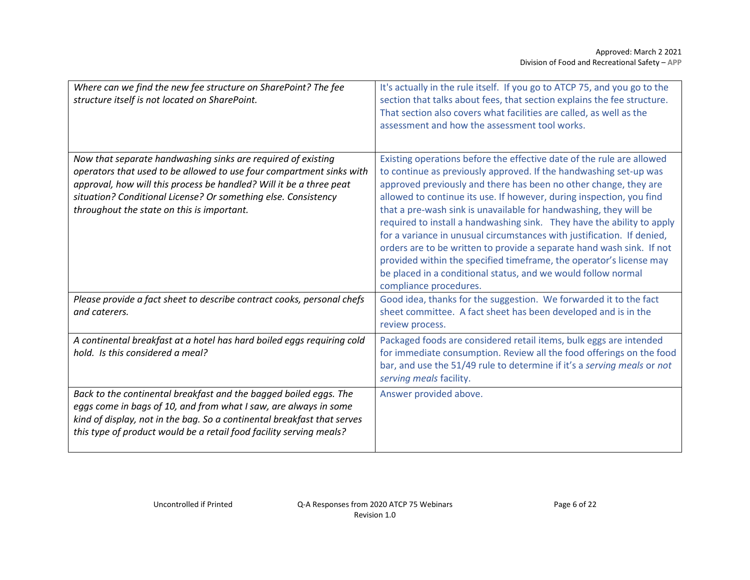| Where can we find the new fee structure on SharePoint? The fee<br>structure itself is not located on SharePoint.                                                                                                                                                                                                            | It's actually in the rule itself. If you go to ATCP 75, and you go to the<br>section that talks about fees, that section explains the fee structure.<br>That section also covers what facilities are called, as well as the<br>assessment and how the assessment tool works.                                                                                                                                                                                                                                                                                                                                                                                                                                                                               |
|-----------------------------------------------------------------------------------------------------------------------------------------------------------------------------------------------------------------------------------------------------------------------------------------------------------------------------|------------------------------------------------------------------------------------------------------------------------------------------------------------------------------------------------------------------------------------------------------------------------------------------------------------------------------------------------------------------------------------------------------------------------------------------------------------------------------------------------------------------------------------------------------------------------------------------------------------------------------------------------------------------------------------------------------------------------------------------------------------|
| Now that separate handwashing sinks are required of existing<br>operators that used to be allowed to use four compartment sinks with<br>approval, how will this process be handled? Will it be a three peat<br>situation? Conditional License? Or something else. Consistency<br>throughout the state on this is important. | Existing operations before the effective date of the rule are allowed<br>to continue as previously approved. If the handwashing set-up was<br>approved previously and there has been no other change, they are<br>allowed to continue its use. If however, during inspection, you find<br>that a pre-wash sink is unavailable for handwashing, they will be<br>required to install a handwashing sink. They have the ability to apply<br>for a variance in unusual circumstances with justification. If denied,<br>orders are to be written to provide a separate hand wash sink. If not<br>provided within the specified timeframe, the operator's license may<br>be placed in a conditional status, and we would follow normal<br>compliance procedures. |
| Please provide a fact sheet to describe contract cooks, personal chefs<br>and caterers.                                                                                                                                                                                                                                     | Good idea, thanks for the suggestion. We forwarded it to the fact<br>sheet committee. A fact sheet has been developed and is in the<br>review process.                                                                                                                                                                                                                                                                                                                                                                                                                                                                                                                                                                                                     |
| A continental breakfast at a hotel has hard boiled eggs requiring cold<br>hold. Is this considered a meal?                                                                                                                                                                                                                  | Packaged foods are considered retail items, bulk eggs are intended<br>for immediate consumption. Review all the food offerings on the food<br>bar, and use the 51/49 rule to determine if it's a serving meals or not<br>serving meals facility.                                                                                                                                                                                                                                                                                                                                                                                                                                                                                                           |
| Back to the continental breakfast and the bagged boiled eggs. The<br>eggs come in bags of 10, and from what I saw, are always in some<br>kind of display, not in the bag. So a continental breakfast that serves<br>this type of product would be a retail food facility serving meals?                                     | Answer provided above.                                                                                                                                                                                                                                                                                                                                                                                                                                                                                                                                                                                                                                                                                                                                     |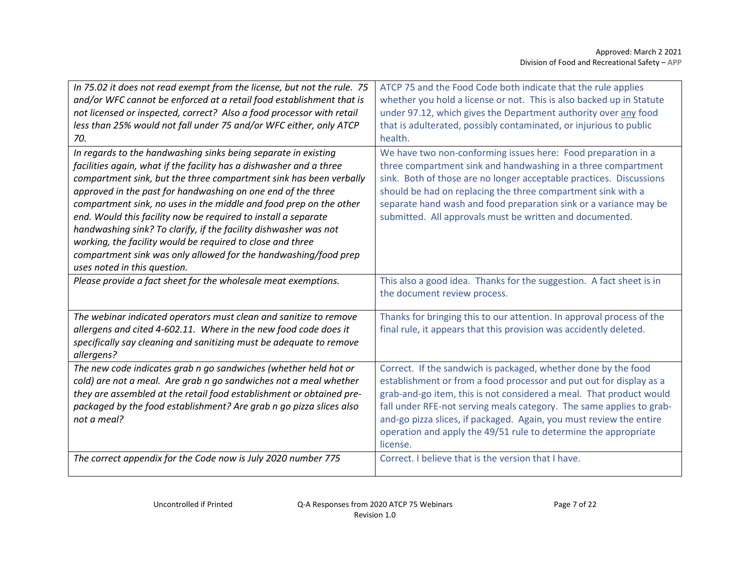| In 75.02 it does not read exempt from the license, but not the rule. 75<br>and/or WFC cannot be enforced at a retail food establishment that is<br>not licensed or inspected, correct? Also a food processor with retail<br>less than 25% would not fall under 75 and/or WFC either, only ATCP<br>70.<br>In regards to the handwashing sinks being separate in existing<br>facilities again, what if the facility has a dishwasher and a three<br>compartment sink, but the three compartment sink has been verbally<br>approved in the past for handwashing on one end of the three<br>compartment sink, no uses in the middle and food prep on the other<br>end. Would this facility now be required to install a separate<br>handwashing sink? To clarify, if the facility dishwasher was not<br>working, the facility would be required to close and three<br>compartment sink was only allowed for the handwashing/food prep<br>uses noted in this question. | ATCP 75 and the Food Code both indicate that the rule applies<br>whether you hold a license or not. This is also backed up in Statute<br>under 97.12, which gives the Department authority over any food<br>that is adulterated, possibly contaminated, or injurious to public<br>health.<br>We have two non-conforming issues here: Food preparation in a<br>three compartment sink and handwashing in a three compartment<br>sink. Both of those are no longer acceptable practices. Discussions<br>should be had on replacing the three compartment sink with a<br>separate hand wash and food preparation sink or a variance may be<br>submitted. All approvals must be written and documented. |
|-------------------------------------------------------------------------------------------------------------------------------------------------------------------------------------------------------------------------------------------------------------------------------------------------------------------------------------------------------------------------------------------------------------------------------------------------------------------------------------------------------------------------------------------------------------------------------------------------------------------------------------------------------------------------------------------------------------------------------------------------------------------------------------------------------------------------------------------------------------------------------------------------------------------------------------------------------------------|-----------------------------------------------------------------------------------------------------------------------------------------------------------------------------------------------------------------------------------------------------------------------------------------------------------------------------------------------------------------------------------------------------------------------------------------------------------------------------------------------------------------------------------------------------------------------------------------------------------------------------------------------------------------------------------------------------|
| Please provide a fact sheet for the wholesale meat exemptions.                                                                                                                                                                                                                                                                                                                                                                                                                                                                                                                                                                                                                                                                                                                                                                                                                                                                                                    | This also a good idea. Thanks for the suggestion. A fact sheet is in<br>the document review process.                                                                                                                                                                                                                                                                                                                                                                                                                                                                                                                                                                                                |
| The webinar indicated operators must clean and sanitize to remove<br>allergens and cited 4-602.11. Where in the new food code does it<br>specifically say cleaning and sanitizing must be adequate to remove<br>allergens?                                                                                                                                                                                                                                                                                                                                                                                                                                                                                                                                                                                                                                                                                                                                        | Thanks for bringing this to our attention. In approval process of the<br>final rule, it appears that this provision was accidently deleted.                                                                                                                                                                                                                                                                                                                                                                                                                                                                                                                                                         |
| The new code indicates grab n go sandwiches (whether held hot or<br>cold) are not a meal. Are grab n go sandwiches not a meal whether<br>they are assembled at the retail food establishment or obtained pre-<br>packaged by the food establishment? Are grab n go pizza slices also<br>not a meal?                                                                                                                                                                                                                                                                                                                                                                                                                                                                                                                                                                                                                                                               | Correct. If the sandwich is packaged, whether done by the food<br>establishment or from a food processor and put out for display as a<br>grab-and-go item, this is not considered a meal. That product would<br>fall under RFE-not serving meals category. The same applies to grab-<br>and-go pizza slices, if packaged. Again, you must review the entire<br>operation and apply the 49/51 rule to determine the appropriate<br>license.                                                                                                                                                                                                                                                          |
| The correct appendix for the Code now is July 2020 number 775                                                                                                                                                                                                                                                                                                                                                                                                                                                                                                                                                                                                                                                                                                                                                                                                                                                                                                     | Correct. I believe that is the version that I have.                                                                                                                                                                                                                                                                                                                                                                                                                                                                                                                                                                                                                                                 |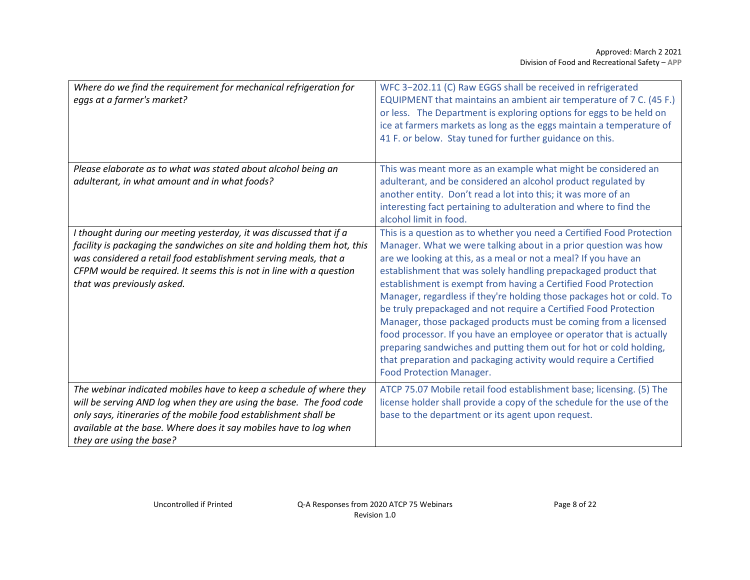| Where do we find the requirement for mechanical refrigeration for<br>eggs at a farmer's market?                                                                        | WFC 3-202.11 (C) Raw EGGS shall be received in refrigerated<br>EQUIPMENT that maintains an ambient air temperature of 7 C. (45 F.)<br>or less. The Department is exploring options for eggs to be held on<br>ice at farmers markets as long as the eggs maintain a temperature of<br>41 F. or below. Stay tuned for further guidance on this.                                                                                                                                                                                                                                                                                                                               |
|------------------------------------------------------------------------------------------------------------------------------------------------------------------------|-----------------------------------------------------------------------------------------------------------------------------------------------------------------------------------------------------------------------------------------------------------------------------------------------------------------------------------------------------------------------------------------------------------------------------------------------------------------------------------------------------------------------------------------------------------------------------------------------------------------------------------------------------------------------------|
| Please elaborate as to what was stated about alcohol being an                                                                                                          | This was meant more as an example what might be considered an                                                                                                                                                                                                                                                                                                                                                                                                                                                                                                                                                                                                               |
| adulterant, in what amount and in what foods?                                                                                                                          | adulterant, and be considered an alcohol product regulated by<br>another entity. Don't read a lot into this; it was more of an<br>interesting fact pertaining to adulteration and where to find the<br>alcohol limit in food.                                                                                                                                                                                                                                                                                                                                                                                                                                               |
| I thought during our meeting yesterday, it was discussed that if a                                                                                                     | This is a question as to whether you need a Certified Food Protection                                                                                                                                                                                                                                                                                                                                                                                                                                                                                                                                                                                                       |
| facility is packaging the sandwiches on site and holding them hot, this                                                                                                | Manager. What we were talking about in a prior question was how                                                                                                                                                                                                                                                                                                                                                                                                                                                                                                                                                                                                             |
| was considered a retail food establishment serving meals, that a<br>CFPM would be required. It seems this is not in line with a question<br>that was previously asked. | are we looking at this, as a meal or not a meal? If you have an<br>establishment that was solely handling prepackaged product that<br>establishment is exempt from having a Certified Food Protection<br>Manager, regardless if they're holding those packages hot or cold. To<br>be truly prepackaged and not require a Certified Food Protection<br>Manager, those packaged products must be coming from a licensed<br>food processor. If you have an employee or operator that is actually<br>preparing sandwiches and putting them out for hot or cold holding,<br>that preparation and packaging activity would require a Certified<br><b>Food Protection Manager.</b> |
| The webinar indicated mobiles have to keep a schedule of where they                                                                                                    | ATCP 75.07 Mobile retail food establishment base; licensing. (5) The                                                                                                                                                                                                                                                                                                                                                                                                                                                                                                                                                                                                        |
| will be serving AND log when they are using the base. The food code                                                                                                    | license holder shall provide a copy of the schedule for the use of the                                                                                                                                                                                                                                                                                                                                                                                                                                                                                                                                                                                                      |
| only says, itineraries of the mobile food establishment shall be                                                                                                       | base to the department or its agent upon request.                                                                                                                                                                                                                                                                                                                                                                                                                                                                                                                                                                                                                           |
| available at the base. Where does it say mobiles have to log when<br>they are using the base?                                                                          |                                                                                                                                                                                                                                                                                                                                                                                                                                                                                                                                                                                                                                                                             |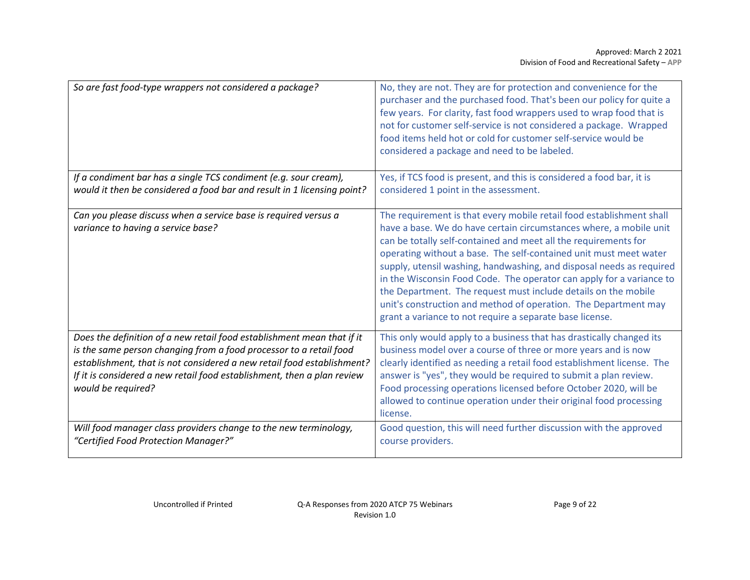| So are fast food-type wrappers not considered a package?                                                                                     | No, they are not. They are for protection and convenience for the<br>purchaser and the purchased food. That's been our policy for quite a<br>few years. For clarity, fast food wrappers used to wrap food that is<br>not for customer self-service is not considered a package. Wrapped<br>food items held hot or cold for customer self-service would be<br>considered a package and need to be labeled.                                                                                                                                                                                                                           |
|----------------------------------------------------------------------------------------------------------------------------------------------|-------------------------------------------------------------------------------------------------------------------------------------------------------------------------------------------------------------------------------------------------------------------------------------------------------------------------------------------------------------------------------------------------------------------------------------------------------------------------------------------------------------------------------------------------------------------------------------------------------------------------------------|
| If a condiment bar has a single TCS condiment (e.g. sour cream),                                                                             | Yes, if TCS food is present, and this is considered a food bar, it is                                                                                                                                                                                                                                                                                                                                                                                                                                                                                                                                                               |
| would it then be considered a food bar and result in 1 licensing point?                                                                      | considered 1 point in the assessment.                                                                                                                                                                                                                                                                                                                                                                                                                                                                                                                                                                                               |
| Can you please discuss when a service base is required versus a<br>variance to having a service base?                                        | The requirement is that every mobile retail food establishment shall<br>have a base. We do have certain circumstances where, a mobile unit<br>can be totally self-contained and meet all the requirements for<br>operating without a base. The self-contained unit must meet water<br>supply, utensil washing, handwashing, and disposal needs as required<br>in the Wisconsin Food Code. The operator can apply for a variance to<br>the Department. The request must include details on the mobile<br>unit's construction and method of operation. The Department may<br>grant a variance to not require a separate base license. |
| Does the definition of a new retail food establishment mean that if it                                                                       | This only would apply to a business that has drastically changed its                                                                                                                                                                                                                                                                                                                                                                                                                                                                                                                                                                |
| is the same person changing from a food processor to a retail food<br>establishment, that is not considered a new retail food establishment? | business model over a course of three or more years and is now<br>clearly identified as needing a retail food establishment license. The                                                                                                                                                                                                                                                                                                                                                                                                                                                                                            |
| If it is considered a new retail food establishment, then a plan review                                                                      | answer is "yes", they would be required to submit a plan review.                                                                                                                                                                                                                                                                                                                                                                                                                                                                                                                                                                    |
| would be required?                                                                                                                           | Food processing operations licensed before October 2020, will be                                                                                                                                                                                                                                                                                                                                                                                                                                                                                                                                                                    |
|                                                                                                                                              | allowed to continue operation under their original food processing<br>license.                                                                                                                                                                                                                                                                                                                                                                                                                                                                                                                                                      |
| Will food manager class providers change to the new terminology,<br>"Certified Food Protection Manager?"                                     | Good question, this will need further discussion with the approved<br>course providers.                                                                                                                                                                                                                                                                                                                                                                                                                                                                                                                                             |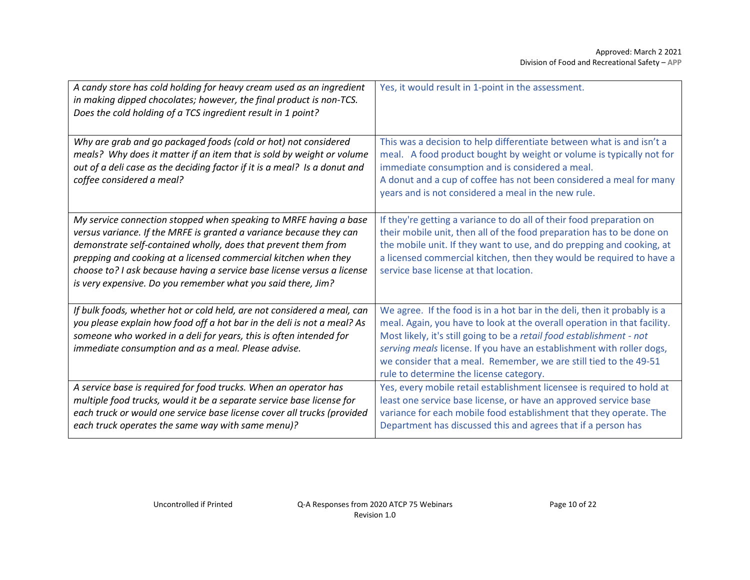| A candy store has cold holding for heavy cream used as an ingredient<br>in making dipped chocolates; however, the final product is non-TCS.<br>Does the cold holding of a TCS ingredient result in 1 point?                                                                                                                                                                                                              | Yes, it would result in 1-point in the assessment.                                                                                                                                                                                                                                                                                                                                                                     |
|--------------------------------------------------------------------------------------------------------------------------------------------------------------------------------------------------------------------------------------------------------------------------------------------------------------------------------------------------------------------------------------------------------------------------|------------------------------------------------------------------------------------------------------------------------------------------------------------------------------------------------------------------------------------------------------------------------------------------------------------------------------------------------------------------------------------------------------------------------|
| Why are grab and go packaged foods (cold or hot) not considered<br>meals? Why does it matter if an item that is sold by weight or volume<br>out of a deli case as the deciding factor if it is a meal? Is a donut and<br>coffee considered a meal?                                                                                                                                                                       | This was a decision to help differentiate between what is and isn't a<br>meal. A food product bought by weight or volume is typically not for<br>immediate consumption and is considered a meal.<br>A donut and a cup of coffee has not been considered a meal for many<br>years and is not considered a meal in the new rule.                                                                                         |
| My service connection stopped when speaking to MRFE having a base<br>versus variance. If the MRFE is granted a variance because they can<br>demonstrate self-contained wholly, does that prevent them from<br>prepping and cooking at a licensed commercial kitchen when they<br>choose to? I ask because having a service base license versus a license<br>is very expensive. Do you remember what you said there, Jim? | If they're getting a variance to do all of their food preparation on<br>their mobile unit, then all of the food preparation has to be done on<br>the mobile unit. If they want to use, and do prepping and cooking, at<br>a licensed commercial kitchen, then they would be required to have a<br>service base license at that location.                                                                               |
| If bulk foods, whether hot or cold held, are not considered a meal, can<br>you please explain how food off a hot bar in the deli is not a meal? As<br>someone who worked in a deli for years, this is often intended for<br>immediate consumption and as a meal. Please advise.                                                                                                                                          | We agree. If the food is in a hot bar in the deli, then it probably is a<br>meal. Again, you have to look at the overall operation in that facility.<br>Most likely, it's still going to be a retail food establishment - not<br>serving meals license. If you have an establishment with roller dogs,<br>we consider that a meal. Remember, we are still tied to the 49-51<br>rule to determine the license category. |
| A service base is required for food trucks. When an operator has<br>multiple food trucks, would it be a separate service base license for<br>each truck or would one service base license cover all trucks (provided<br>each truck operates the same way with same menu)?                                                                                                                                                | Yes, every mobile retail establishment licensee is required to hold at<br>least one service base license, or have an approved service base<br>variance for each mobile food establishment that they operate. The<br>Department has discussed this and agrees that if a person has                                                                                                                                      |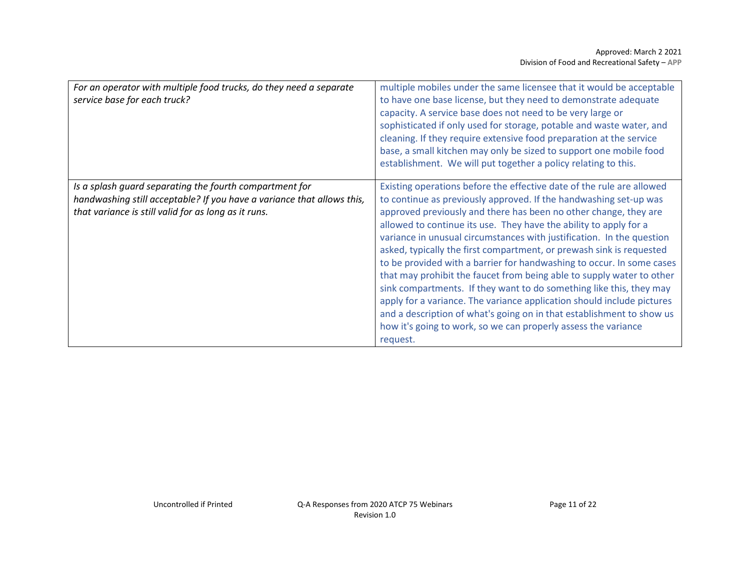| For an operator with multiple food trucks, do they need a separate<br>service base for each truck?                                                                                        | multiple mobiles under the same licensee that it would be acceptable<br>to have one base license, but they need to demonstrate adequate<br>capacity. A service base does not need to be very large or<br>sophisticated if only used for storage, potable and waste water, and<br>cleaning. If they require extensive food preparation at the service<br>base, a small kitchen may only be sized to support one mobile food<br>establishment. We will put together a policy relating to this.                                                                                                                                                                                                                                                                                                                                                                                                   |
|-------------------------------------------------------------------------------------------------------------------------------------------------------------------------------------------|------------------------------------------------------------------------------------------------------------------------------------------------------------------------------------------------------------------------------------------------------------------------------------------------------------------------------------------------------------------------------------------------------------------------------------------------------------------------------------------------------------------------------------------------------------------------------------------------------------------------------------------------------------------------------------------------------------------------------------------------------------------------------------------------------------------------------------------------------------------------------------------------|
| Is a splash guard separating the fourth compartment for<br>handwashing still acceptable? If you have a variance that allows this,<br>that variance is still valid for as long as it runs. | Existing operations before the effective date of the rule are allowed<br>to continue as previously approved. If the handwashing set-up was<br>approved previously and there has been no other change, they are<br>allowed to continue its use. They have the ability to apply for a<br>variance in unusual circumstances with justification. In the question<br>asked, typically the first compartment, or prewash sink is requested<br>to be provided with a barrier for handwashing to occur. In some cases<br>that may prohibit the faucet from being able to supply water to other<br>sink compartments. If they want to do something like this, they may<br>apply for a variance. The variance application should include pictures<br>and a description of what's going on in that establishment to show us<br>how it's going to work, so we can properly assess the variance<br>request. |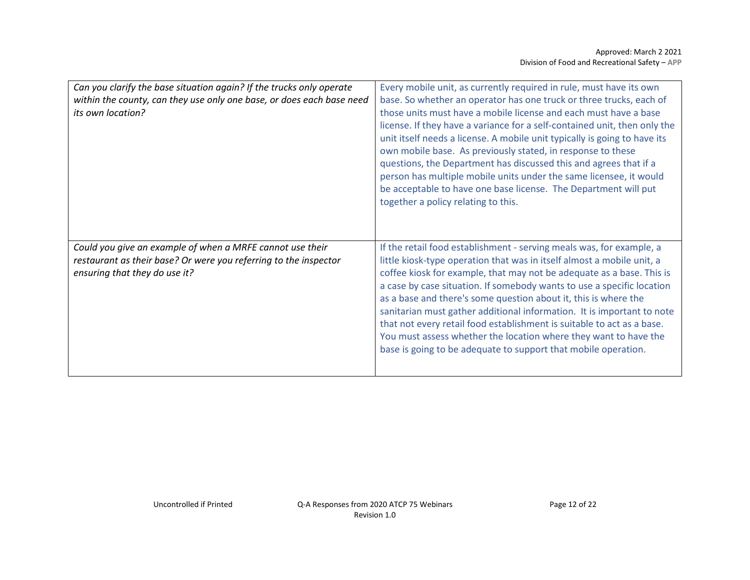| Can you clarify the base situation again? If the trucks only operate<br>within the county, can they use only one base, or does each base need<br>its own location? | Every mobile unit, as currently required in rule, must have its own<br>base. So whether an operator has one truck or three trucks, each of<br>those units must have a mobile license and each must have a base<br>license. If they have a variance for a self-contained unit, then only the<br>unit itself needs a license. A mobile unit typically is going to have its<br>own mobile base. As previously stated, in response to these<br>questions, the Department has discussed this and agrees that if a<br>person has multiple mobile units under the same licensee, it would<br>be acceptable to have one base license. The Department will put<br>together a policy relating to this. |
|--------------------------------------------------------------------------------------------------------------------------------------------------------------------|----------------------------------------------------------------------------------------------------------------------------------------------------------------------------------------------------------------------------------------------------------------------------------------------------------------------------------------------------------------------------------------------------------------------------------------------------------------------------------------------------------------------------------------------------------------------------------------------------------------------------------------------------------------------------------------------|
| Could you give an example of when a MRFE cannot use their<br>restaurant as their base? Or were you referring to the inspector<br>ensuring that they do use it?     | If the retail food establishment - serving meals was, for example, a<br>little kiosk-type operation that was in itself almost a mobile unit, a<br>coffee kiosk for example, that may not be adequate as a base. This is<br>a case by case situation. If somebody wants to use a specific location<br>as a base and there's some question about it, this is where the<br>sanitarian must gather additional information. It is important to note<br>that not every retail food establishment is suitable to act as a base.<br>You must assess whether the location where they want to have the<br>base is going to be adequate to support that mobile operation.                               |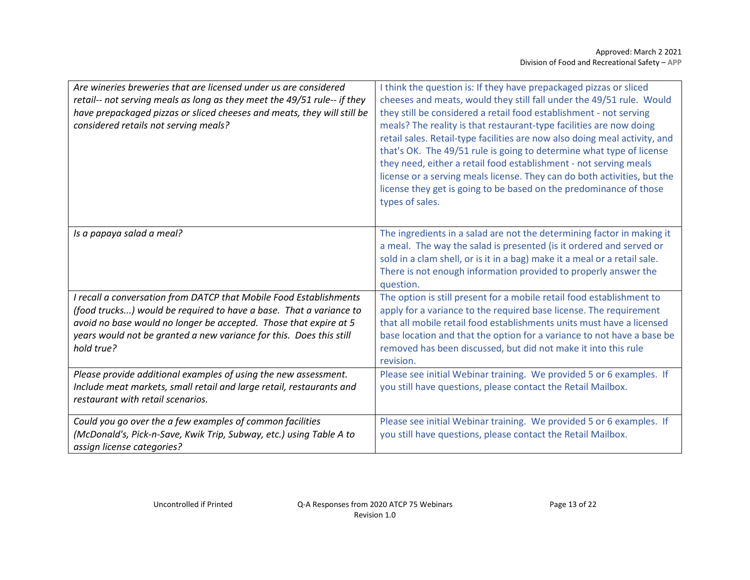| Are wineries breweries that are licensed under us are considered<br>retail-- not serving meals as long as they meet the 49/51 rule-- if they<br>have prepackaged pizzas or sliced cheeses and meats, they will still be<br>considered retails not serving meals?                                   | I think the question is: If they have prepackaged pizzas or sliced<br>cheeses and meats, would they still fall under the 49/51 rule. Would<br>they still be considered a retail food establishment - not serving<br>meals? The reality is that restaurant-type facilities are now doing<br>retail sales. Retail-type facilities are now also doing meal activity, and<br>that's OK. The 49/51 rule is going to determine what type of license<br>they need, either a retail food establishment - not serving meals<br>license or a serving meals license. They can do both activities, but the<br>license they get is going to be based on the predominance of those<br>types of sales. |
|----------------------------------------------------------------------------------------------------------------------------------------------------------------------------------------------------------------------------------------------------------------------------------------------------|-----------------------------------------------------------------------------------------------------------------------------------------------------------------------------------------------------------------------------------------------------------------------------------------------------------------------------------------------------------------------------------------------------------------------------------------------------------------------------------------------------------------------------------------------------------------------------------------------------------------------------------------------------------------------------------------|
| Is a papaya salad a meal?                                                                                                                                                                                                                                                                          | The ingredients in a salad are not the determining factor in making it<br>a meal. The way the salad is presented (is it ordered and served or<br>sold in a clam shell, or is it in a bag) make it a meal or a retail sale.<br>There is not enough information provided to properly answer the<br>question.                                                                                                                                                                                                                                                                                                                                                                              |
| I recall a conversation from DATCP that Mobile Food Establishments<br>(food trucks) would be required to have a base. That a variance to<br>avoid no base would no longer be accepted. Those that expire at 5<br>years would not be granted a new variance for this. Does this still<br>hold true? | The option is still present for a mobile retail food establishment to<br>apply for a variance to the required base license. The requirement<br>that all mobile retail food establishments units must have a licensed<br>base location and that the option for a variance to not have a base be<br>removed has been discussed, but did not make it into this rule<br>revision.                                                                                                                                                                                                                                                                                                           |
| Please provide additional examples of using the new assessment.<br>Include meat markets, small retail and large retail, restaurants and<br>restaurant with retail scenarios.                                                                                                                       | Please see initial Webinar training. We provided 5 or 6 examples. If<br>you still have questions, please contact the Retail Mailbox.                                                                                                                                                                                                                                                                                                                                                                                                                                                                                                                                                    |
| Could you go over the a few examples of common facilities<br>(McDonald's, Pick-n-Save, Kwik Trip, Subway, etc.) using Table A to<br>assign license categories?                                                                                                                                     | Please see initial Webinar training. We provided 5 or 6 examples. If<br>you still have questions, please contact the Retail Mailbox.                                                                                                                                                                                                                                                                                                                                                                                                                                                                                                                                                    |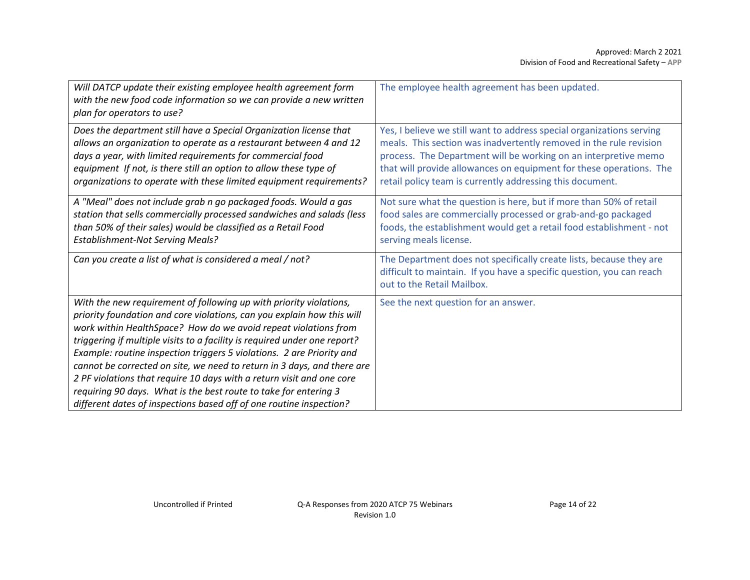| Will DATCP update their existing employee health agreement form<br>with the new food code information so we can provide a new written<br>plan for operators to use?                                                                                                                                                                                                                                                                                                                                                                                                                                                                                                  | The employee health agreement has been updated.                                                                                                                                                                                                                                                                                                    |
|----------------------------------------------------------------------------------------------------------------------------------------------------------------------------------------------------------------------------------------------------------------------------------------------------------------------------------------------------------------------------------------------------------------------------------------------------------------------------------------------------------------------------------------------------------------------------------------------------------------------------------------------------------------------|----------------------------------------------------------------------------------------------------------------------------------------------------------------------------------------------------------------------------------------------------------------------------------------------------------------------------------------------------|
| Does the department still have a Special Organization license that<br>allows an organization to operate as a restaurant between 4 and 12<br>days a year, with limited requirements for commercial food<br>equipment If not, is there still an option to allow these type of<br>organizations to operate with these limited equipment requirements?                                                                                                                                                                                                                                                                                                                   | Yes, I believe we still want to address special organizations serving<br>meals. This section was inadvertently removed in the rule revision<br>process. The Department will be working on an interpretive memo<br>that will provide allowances on equipment for these operations. The<br>retail policy team is currently addressing this document. |
| A "Meal" does not include grab n go packaged foods. Would a gas<br>station that sells commercially processed sandwiches and salads (less<br>than 50% of their sales) would be classified as a Retail Food<br><b>Establishment-Not Serving Meals?</b>                                                                                                                                                                                                                                                                                                                                                                                                                 | Not sure what the question is here, but if more than 50% of retail<br>food sales are commercially processed or grab-and-go packaged<br>foods, the establishment would get a retail food establishment - not<br>serving meals license.                                                                                                              |
| Can you create a list of what is considered a meal / not?                                                                                                                                                                                                                                                                                                                                                                                                                                                                                                                                                                                                            | The Department does not specifically create lists, because they are<br>difficult to maintain. If you have a specific question, you can reach<br>out to the Retail Mailbox.                                                                                                                                                                         |
| With the new requirement of following up with priority violations,<br>priority foundation and core violations, can you explain how this will<br>work within HealthSpace? How do we avoid repeat violations from<br>triggering if multiple visits to a facility is required under one report?<br>Example: routine inspection triggers 5 violations. 2 are Priority and<br>cannot be corrected on site, we need to return in 3 days, and there are<br>2 PF violations that require 10 days with a return visit and one core<br>requiring 90 days. What is the best route to take for entering 3<br>different dates of inspections based off of one routine inspection? | See the next question for an answer.                                                                                                                                                                                                                                                                                                               |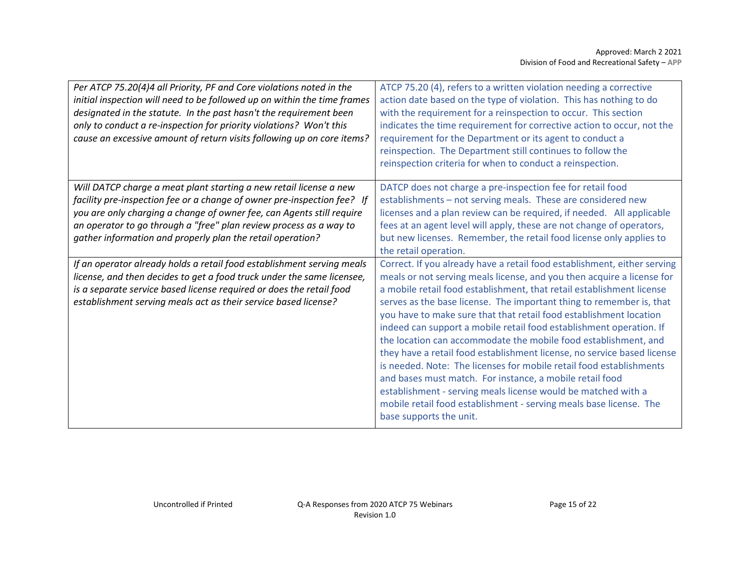| Per ATCP 75.20(4)4 all Priority, PF and Core violations noted in the<br>initial inspection will need to be followed up on within the time frames<br>designated in the statute. In the past hasn't the requirement been<br>only to conduct a re-inspection for priority violations? Won't this<br>cause an excessive amount of return visits following up on core items? | ATCP 75.20 (4), refers to a written violation needing a corrective<br>action date based on the type of violation. This has nothing to do<br>with the requirement for a reinspection to occur. This section<br>indicates the time requirement for corrective action to occur, not the<br>requirement for the Department or its agent to conduct a<br>reinspection. The Department still continues to follow the<br>reinspection criteria for when to conduct a reinspection.                                                                                                                                                                                                                                                                                                                                                                                                                         |
|-------------------------------------------------------------------------------------------------------------------------------------------------------------------------------------------------------------------------------------------------------------------------------------------------------------------------------------------------------------------------|-----------------------------------------------------------------------------------------------------------------------------------------------------------------------------------------------------------------------------------------------------------------------------------------------------------------------------------------------------------------------------------------------------------------------------------------------------------------------------------------------------------------------------------------------------------------------------------------------------------------------------------------------------------------------------------------------------------------------------------------------------------------------------------------------------------------------------------------------------------------------------------------------------|
| Will DATCP charge a meat plant starting a new retail license a new<br>facility pre-inspection fee or a change of owner pre-inspection fee? If<br>you are only charging a change of owner fee, can Agents still require<br>an operator to go through a "free" plan review process as a way to<br>gather information and properly plan the retail operation?              | DATCP does not charge a pre-inspection fee for retail food<br>establishments - not serving meals. These are considered new<br>licenses and a plan review can be required, if needed. All applicable<br>fees at an agent level will apply, these are not change of operators,<br>but new licenses. Remember, the retail food license only applies to<br>the retail operation.                                                                                                                                                                                                                                                                                                                                                                                                                                                                                                                        |
| If an operator already holds a retail food establishment serving meals<br>license, and then decides to get a food truck under the same licensee,<br>is a separate service based license required or does the retail food<br>establishment serving meals act as their service based license?                                                                             | Correct. If you already have a retail food establishment, either serving<br>meals or not serving meals license, and you then acquire a license for<br>a mobile retail food establishment, that retail establishment license<br>serves as the base license. The important thing to remember is, that<br>you have to make sure that that retail food establishment location<br>indeed can support a mobile retail food establishment operation. If<br>the location can accommodate the mobile food establishment, and<br>they have a retail food establishment license, no service based license<br>is needed. Note: The licenses for mobile retail food establishments<br>and bases must match. For instance, a mobile retail food<br>establishment - serving meals license would be matched with a<br>mobile retail food establishment - serving meals base license. The<br>base supports the unit. |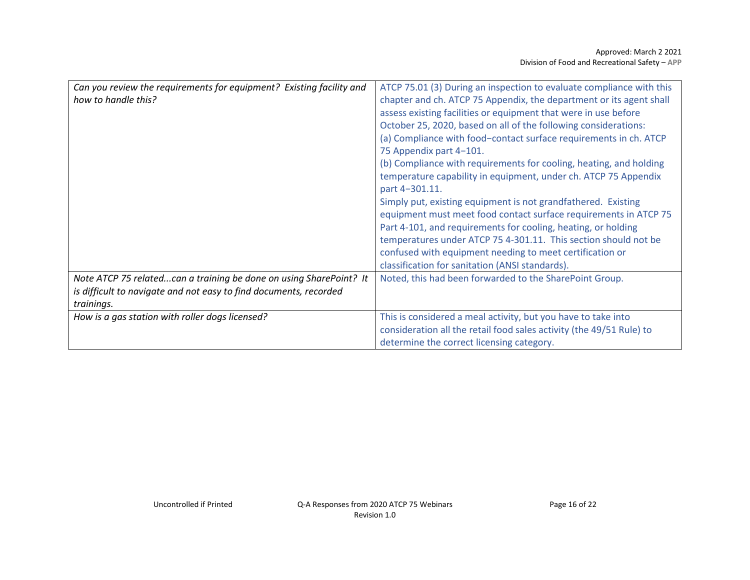| Can you review the requirements for equipment? Existing facility and | ATCP 75.01 (3) During an inspection to evaluate compliance with this |
|----------------------------------------------------------------------|----------------------------------------------------------------------|
| how to handle this?                                                  | chapter and ch. ATCP 75 Appendix, the department or its agent shall  |
|                                                                      | assess existing facilities or equipment that were in use before      |
|                                                                      | October 25, 2020, based on all of the following considerations:      |
|                                                                      | (a) Compliance with food-contact surface requirements in ch. ATCP    |
|                                                                      | 75 Appendix part 4-101.                                              |
|                                                                      | (b) Compliance with requirements for cooling, heating, and holding   |
|                                                                      | temperature capability in equipment, under ch. ATCP 75 Appendix      |
|                                                                      | part 4-301.11.                                                       |
|                                                                      | Simply put, existing equipment is not grandfathered. Existing        |
|                                                                      | equipment must meet food contact surface requirements in ATCP 75     |
|                                                                      | Part 4-101, and requirements for cooling, heating, or holding        |
|                                                                      | temperatures under ATCP 75 4-301.11. This section should not be      |
|                                                                      | confused with equipment needing to meet certification or             |
|                                                                      | classification for sanitation (ANSI standards).                      |
| Note ATCP 75 relatedcan a training be done on using SharePoint? It   | Noted, this had been forwarded to the SharePoint Group.              |
| is difficult to navigate and not easy to find documents, recorded    |                                                                      |
| trainings.                                                           |                                                                      |
| How is a gas station with roller dogs licensed?                      | This is considered a meal activity, but you have to take into        |
|                                                                      | consideration all the retail food sales activity (the 49/51 Rule) to |
|                                                                      | determine the correct licensing category.                            |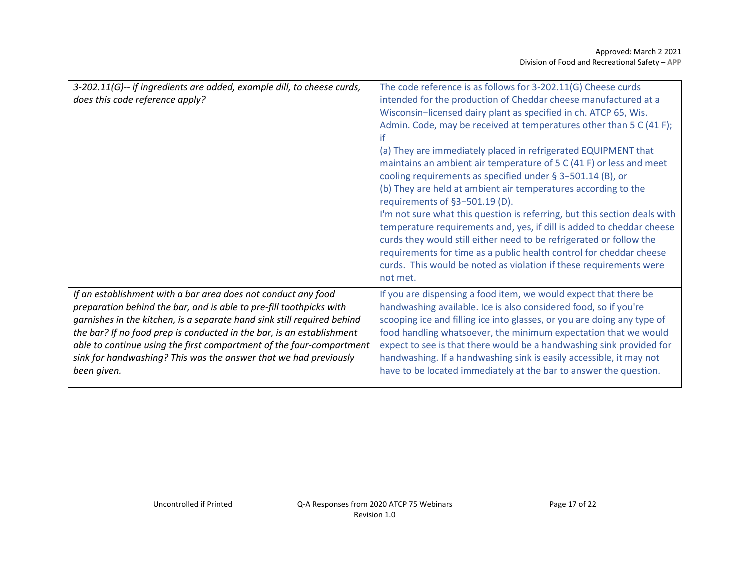| does this code reference apply?<br>intended for the production of Cheddar cheese manufactured at a<br>Wisconsin-licensed dairy plant as specified in ch. ATCP 65, Wis.<br>Admin. Code, may be received at temperatures other than 5 C (41 F);<br>ït<br>(a) They are immediately placed in refrigerated EQUIPMENT that<br>maintains an ambient air temperature of 5 C (41 F) or less and meet<br>cooling requirements as specified under § 3-501.14 (B), or<br>(b) They are held at ambient air temperatures according to the<br>requirements of §3-501.19 (D).<br>I'm not sure what this question is referring, but this section deals with<br>temperature requirements and, yes, if dill is added to cheddar cheese<br>curds they would still either need to be refrigerated or follow the<br>requirements for time as a public health control for cheddar cheese<br>curds. This would be noted as violation if these requirements were<br>not met. |
|------------------------------------------------------------------------------------------------------------------------------------------------------------------------------------------------------------------------------------------------------------------------------------------------------------------------------------------------------------------------------------------------------------------------------------------------------------------------------------------------------------------------------------------------------------------------------------------------------------------------------------------------------------------------------------------------------------------------------------------------------------------------------------------------------------------------------------------------------------------------------------------------------------------------------------------------------|
|                                                                                                                                                                                                                                                                                                                                                                                                                                                                                                                                                                                                                                                                                                                                                                                                                                                                                                                                                      |
|                                                                                                                                                                                                                                                                                                                                                                                                                                                                                                                                                                                                                                                                                                                                                                                                                                                                                                                                                      |
|                                                                                                                                                                                                                                                                                                                                                                                                                                                                                                                                                                                                                                                                                                                                                                                                                                                                                                                                                      |
|                                                                                                                                                                                                                                                                                                                                                                                                                                                                                                                                                                                                                                                                                                                                                                                                                                                                                                                                                      |
|                                                                                                                                                                                                                                                                                                                                                                                                                                                                                                                                                                                                                                                                                                                                                                                                                                                                                                                                                      |
|                                                                                                                                                                                                                                                                                                                                                                                                                                                                                                                                                                                                                                                                                                                                                                                                                                                                                                                                                      |
|                                                                                                                                                                                                                                                                                                                                                                                                                                                                                                                                                                                                                                                                                                                                                                                                                                                                                                                                                      |
|                                                                                                                                                                                                                                                                                                                                                                                                                                                                                                                                                                                                                                                                                                                                                                                                                                                                                                                                                      |
|                                                                                                                                                                                                                                                                                                                                                                                                                                                                                                                                                                                                                                                                                                                                                                                                                                                                                                                                                      |
|                                                                                                                                                                                                                                                                                                                                                                                                                                                                                                                                                                                                                                                                                                                                                                                                                                                                                                                                                      |
|                                                                                                                                                                                                                                                                                                                                                                                                                                                                                                                                                                                                                                                                                                                                                                                                                                                                                                                                                      |
|                                                                                                                                                                                                                                                                                                                                                                                                                                                                                                                                                                                                                                                                                                                                                                                                                                                                                                                                                      |
|                                                                                                                                                                                                                                                                                                                                                                                                                                                                                                                                                                                                                                                                                                                                                                                                                                                                                                                                                      |
|                                                                                                                                                                                                                                                                                                                                                                                                                                                                                                                                                                                                                                                                                                                                                                                                                                                                                                                                                      |
|                                                                                                                                                                                                                                                                                                                                                                                                                                                                                                                                                                                                                                                                                                                                                                                                                                                                                                                                                      |
| If an establishment with a bar area does not conduct any food<br>If you are dispensing a food item, we would expect that there be                                                                                                                                                                                                                                                                                                                                                                                                                                                                                                                                                                                                                                                                                                                                                                                                                    |
| handwashing available. Ice is also considered food, so if you're<br>preparation behind the bar, and is able to pre-fill toothpicks with                                                                                                                                                                                                                                                                                                                                                                                                                                                                                                                                                                                                                                                                                                                                                                                                              |
| garnishes in the kitchen, is a separate hand sink still required behind<br>scooping ice and filling ice into glasses, or you are doing any type of                                                                                                                                                                                                                                                                                                                                                                                                                                                                                                                                                                                                                                                                                                                                                                                                   |
| the bar? If no food prep is conducted in the bar, is an establishment<br>food handling whatsoever, the minimum expectation that we would                                                                                                                                                                                                                                                                                                                                                                                                                                                                                                                                                                                                                                                                                                                                                                                                             |
| expect to see is that there would be a handwashing sink provided for<br>able to continue using the first compartment of the four-compartment                                                                                                                                                                                                                                                                                                                                                                                                                                                                                                                                                                                                                                                                                                                                                                                                         |
| sink for handwashing? This was the answer that we had previously<br>handwashing. If a handwashing sink is easily accessible, it may not                                                                                                                                                                                                                                                                                                                                                                                                                                                                                                                                                                                                                                                                                                                                                                                                              |
| have to be located immediately at the bar to answer the question.<br>been given.                                                                                                                                                                                                                                                                                                                                                                                                                                                                                                                                                                                                                                                                                                                                                                                                                                                                     |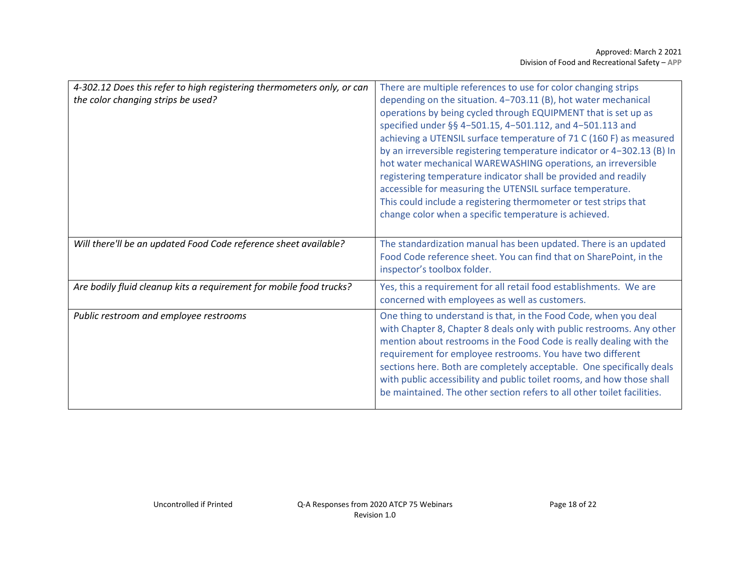| 4-302.12 Does this refer to high registering thermometers only, or can | There are multiple references to use for color changing strips          |
|------------------------------------------------------------------------|-------------------------------------------------------------------------|
| the color changing strips be used?                                     | depending on the situation. 4-703.11 (B), hot water mechanical          |
|                                                                        | operations by being cycled through EQUIPMENT that is set up as          |
|                                                                        | specified under §§ 4-501.15, 4-501.112, and 4-501.113 and               |
|                                                                        | achieving a UTENSIL surface temperature of 71 C (160 F) as measured     |
|                                                                        | by an irreversible registering temperature indicator or 4-302.13 (B) In |
|                                                                        | hot water mechanical WAREWASHING operations, an irreversible            |
|                                                                        | registering temperature indicator shall be provided and readily         |
|                                                                        | accessible for measuring the UTENSIL surface temperature.               |
|                                                                        | This could include a registering thermometer or test strips that        |
|                                                                        | change color when a specific temperature is achieved.                   |
|                                                                        |                                                                         |
| Will there'll be an updated Food Code reference sheet available?       | The standardization manual has been updated. There is an updated        |
|                                                                        | Food Code reference sheet. You can find that on SharePoint, in the      |
|                                                                        | inspector's toolbox folder.                                             |
| Are bodily fluid cleanup kits a requirement for mobile food trucks?    | Yes, this a requirement for all retail food establishments. We are      |
|                                                                        | concerned with employees as well as customers.                          |
| Public restroom and employee restrooms                                 | One thing to understand is that, in the Food Code, when you deal        |
|                                                                        | with Chapter 8, Chapter 8 deals only with public restrooms. Any other   |
|                                                                        | mention about restrooms in the Food Code is really dealing with the     |
|                                                                        | requirement for employee restrooms. You have two different              |
|                                                                        | sections here. Both are completely acceptable. One specifically deals   |
|                                                                        | with public accessibility and public toilet rooms, and how those shall  |
|                                                                        | be maintained. The other section refers to all other toilet facilities. |
|                                                                        |                                                                         |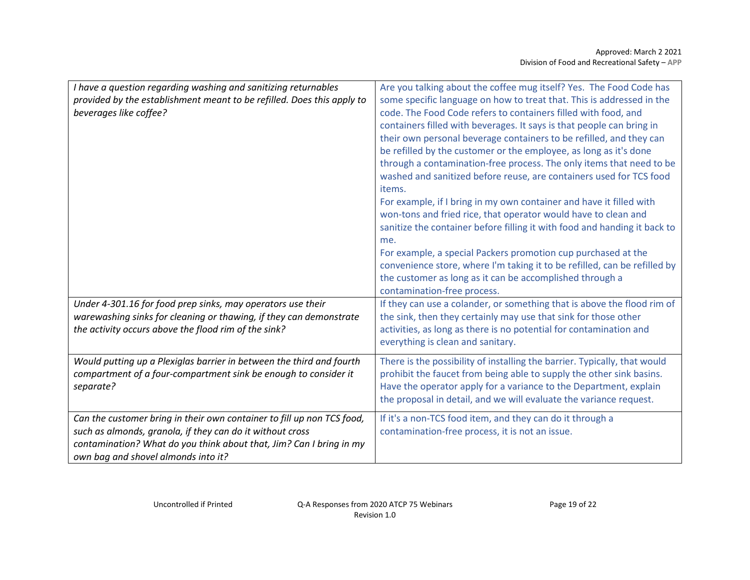| I have a question regarding washing and sanitizing returnables<br>provided by the establishment meant to be refilled. Does this apply to<br>beverages like coffee?                                                                                | Are you talking about the coffee mug itself? Yes. The Food Code has<br>some specific language on how to treat that. This is addressed in the<br>code. The Food Code refers to containers filled with food, and<br>containers filled with beverages. It says is that people can bring in<br>their own personal beverage containers to be refilled, and they can<br>be refilled by the customer or the employee, as long as it's done<br>through a contamination-free process. The only items that need to be<br>washed and sanitized before reuse, are containers used for TCS food<br>items.<br>For example, if I bring in my own container and have it filled with |
|---------------------------------------------------------------------------------------------------------------------------------------------------------------------------------------------------------------------------------------------------|---------------------------------------------------------------------------------------------------------------------------------------------------------------------------------------------------------------------------------------------------------------------------------------------------------------------------------------------------------------------------------------------------------------------------------------------------------------------------------------------------------------------------------------------------------------------------------------------------------------------------------------------------------------------|
|                                                                                                                                                                                                                                                   | won-tons and fried rice, that operator would have to clean and<br>sanitize the container before filling it with food and handing it back to<br>me.<br>For example, a special Packers promotion cup purchased at the<br>convenience store, where I'm taking it to be refilled, can be refilled by<br>the customer as long as it can be accomplished through a<br>contamination-free process.                                                                                                                                                                                                                                                                         |
| Under 4-301.16 for food prep sinks, may operators use their<br>warewashing sinks for cleaning or thawing, if they can demonstrate<br>the activity occurs above the flood rim of the sink?                                                         | If they can use a colander, or something that is above the flood rim of<br>the sink, then they certainly may use that sink for those other<br>activities, as long as there is no potential for contamination and<br>everything is clean and sanitary.                                                                                                                                                                                                                                                                                                                                                                                                               |
| Would putting up a Plexiglas barrier in between the third and fourth<br>compartment of a four-compartment sink be enough to consider it<br>separate?                                                                                              | There is the possibility of installing the barrier. Typically, that would<br>prohibit the faucet from being able to supply the other sink basins.<br>Have the operator apply for a variance to the Department, explain<br>the proposal in detail, and we will evaluate the variance request.                                                                                                                                                                                                                                                                                                                                                                        |
| Can the customer bring in their own container to fill up non TCS food,<br>such as almonds, granola, if they can do it without cross<br>contamination? What do you think about that, Jim? Can I bring in my<br>own bag and shovel almonds into it? | If it's a non-TCS food item, and they can do it through a<br>contamination-free process, it is not an issue.                                                                                                                                                                                                                                                                                                                                                                                                                                                                                                                                                        |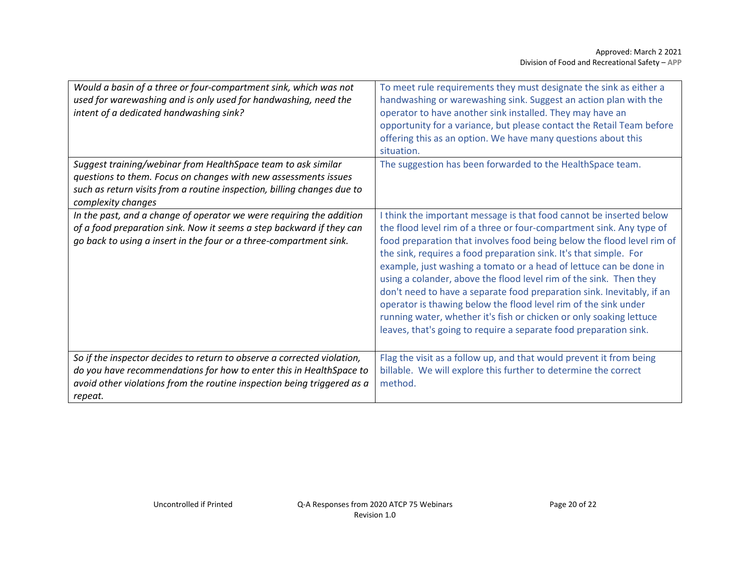| Would a basin of a three or four-compartment sink, which was not<br>used for warewashing and is only used for handwashing, need the<br>intent of a dedicated handwashing sink?                                     | To meet rule requirements they must designate the sink as either a<br>handwashing or warewashing sink. Suggest an action plan with the<br>operator to have another sink installed. They may have an<br>opportunity for a variance, but please contact the Retail Team before<br>offering this as an option. We have many questions about this<br>situation.                                                                                                                                                                                                                                                                                                                                                                     |
|--------------------------------------------------------------------------------------------------------------------------------------------------------------------------------------------------------------------|---------------------------------------------------------------------------------------------------------------------------------------------------------------------------------------------------------------------------------------------------------------------------------------------------------------------------------------------------------------------------------------------------------------------------------------------------------------------------------------------------------------------------------------------------------------------------------------------------------------------------------------------------------------------------------------------------------------------------------|
| Suggest training/webinar from HealthSpace team to ask similar                                                                                                                                                      | The suggestion has been forwarded to the HealthSpace team.                                                                                                                                                                                                                                                                                                                                                                                                                                                                                                                                                                                                                                                                      |
| questions to them. Focus on changes with new assessments issues<br>such as return visits from a routine inspection, billing changes due to<br>complexity changes                                                   |                                                                                                                                                                                                                                                                                                                                                                                                                                                                                                                                                                                                                                                                                                                                 |
| In the past, and a change of operator we were requiring the addition<br>of a food preparation sink. Now it seems a step backward if they can<br>go back to using a insert in the four or a three-compartment sink. | I think the important message is that food cannot be inserted below<br>the flood level rim of a three or four-compartment sink. Any type of<br>food preparation that involves food being below the flood level rim of<br>the sink, requires a food preparation sink. It's that simple. For<br>example, just washing a tomato or a head of lettuce can be done in<br>using a colander, above the flood level rim of the sink. Then they<br>don't need to have a separate food preparation sink. Inevitably, if an<br>operator is thawing below the flood level rim of the sink under<br>running water, whether it's fish or chicken or only soaking lettuce<br>leaves, that's going to require a separate food preparation sink. |
| So if the inspector decides to return to observe a corrected violation,                                                                                                                                            | Flag the visit as a follow up, and that would prevent it from being                                                                                                                                                                                                                                                                                                                                                                                                                                                                                                                                                                                                                                                             |
| do you have recommendations for how to enter this in HealthSpace to<br>avoid other violations from the routine inspection being triggered as a<br>repeat.                                                          | billable. We will explore this further to determine the correct<br>method.                                                                                                                                                                                                                                                                                                                                                                                                                                                                                                                                                                                                                                                      |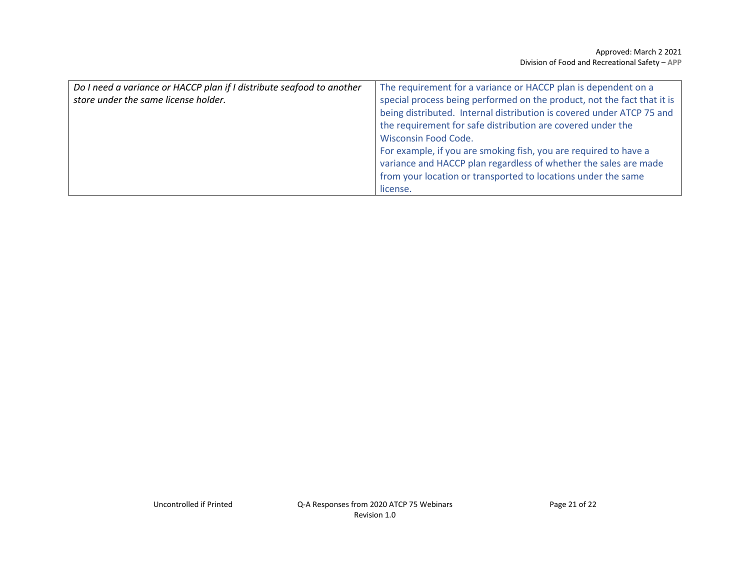| Do I need a variance or HACCP plan if I distribute seafood to another | The requirement for a variance or HACCP plan is dependent on a          |
|-----------------------------------------------------------------------|-------------------------------------------------------------------------|
| store under the same license holder.                                  | special process being performed on the product, not the fact that it is |
|                                                                       | being distributed. Internal distribution is covered under ATCP 75 and   |
|                                                                       | the requirement for safe distribution are covered under the             |
|                                                                       | <b>Wisconsin Food Code.</b>                                             |
|                                                                       | For example, if you are smoking fish, you are required to have a        |
|                                                                       | variance and HACCP plan regardless of whether the sales are made        |
|                                                                       | from your location or transported to locations under the same           |
|                                                                       | license.                                                                |